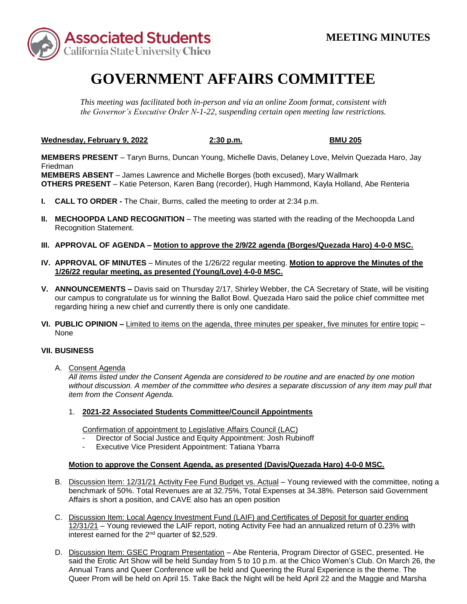

## **GOVERNMENT AFFAIRS COMMITTEE**

*This meeting was facilitated both in-person and via an online Zoom format, consistent with the Governor's Executive Order N-1-22, suspending certain open meeting law restrictions.* 

**Wednesday, February 9, 2022 2:30 p.m. BMU 205** 

 **MEMBERS ABSENT** – James Lawrence and Michelle Borges (both excused), Mary Wallmark **MEMBERS PRESENT** – Taryn Burns, Duncan Young, Michelle Davis, Delaney Love, Melvin Quezada Haro, Jay Friedman **OTHERS PRESENT** – Katie Peterson, Karen Bang (recorder), Hugh Hammond, Kayla Holland, Abe Renteria

- **I. CALL TO ORDER -** The Chair, Burns, called the meeting to order at 2:34 p.m.
- **II. MECHOOPDA LAND RECOGNITION** The meeting was started with the reading of the Mechoopda Land Recognition Statement.
- **III. APPROVAL OF AGENDA – Motion to approve the 2/9/22 agenda (Borges/Quezada Haro) 4-0-0 MSC.**
- **IV. APPROVAL OF MINUTES**  Minutes of the 1/26/22 regular meeting. **Motion to approve the Minutes of the 1/26/22 regular meeting, as presented (Young/Love) 4-0-0 MSC.**
- **V. ANNOUNCEMENTS –** Davis said on Thursday 2/17, Shirley Webber, the CA Secretary of State, will be visiting regarding hiring a new chief and currently there is only one candidate. our campus to congratulate us for winning the Ballot Bowl. Quezada Haro said the police chief committee met
- **VI. PUBLIC OPINION –** Limited to items on the agenda, three minutes per speaker, five minutes for entire topic None

## **VII. BUSINESS**

A. Consent Agenda

*All items listed under the Consent Agenda are considered to be routine and are enacted by one motion without discussion. A member of the committee who desires a separate discussion of any item may pull that item from the Consent Agenda.* 

1. **2021-22 Associated Students Committee/Council Appointments** 

Confirmation of appointment to Legislative Affairs Council (LAC)

- Director of Social Justice and Equity Appointment: Josh Rubinoff
- Executive Vice President Appointment: Tatiana Ybarra

## **Motion to approve the Consent Agenda, as presented (Davis/Quezada Haro) 4-0-0 MSC.**

- benchmark of 50%. Total Revenues are at 32.75%, Total Expenses at 34.38%. Peterson said Government B. Discussion Item: 12/31/21 Activity Fee Fund Budget vs. Actual – Young reviewed with the committee, noting a Affairs is short a position, and CAVE also has an open position
- C. Discussion Item: Local Agency Investment Fund (LAIF) and Certificates of Deposit for quarter ending 12/31/21 – Young reviewed the LAIF report, noting Activity Fee had an annualized return of 0.23% with interest earned for the 2nd quarter of \$2,529.
- D. Discussion Item: GSEC Program Presentation Abe Renteria, Program Director of GSEC, presented. He said the Erotic Art Show will be held Sunday from 5 to 10 p.m. at the Chico Women's Club. On March 26, the Annual Trans and Queer Conference will be held and Queering the Rural Experience is the theme. The Queer Prom will be held on April 15. Take Back the Night will be held April 22 and the Maggie and Marsha